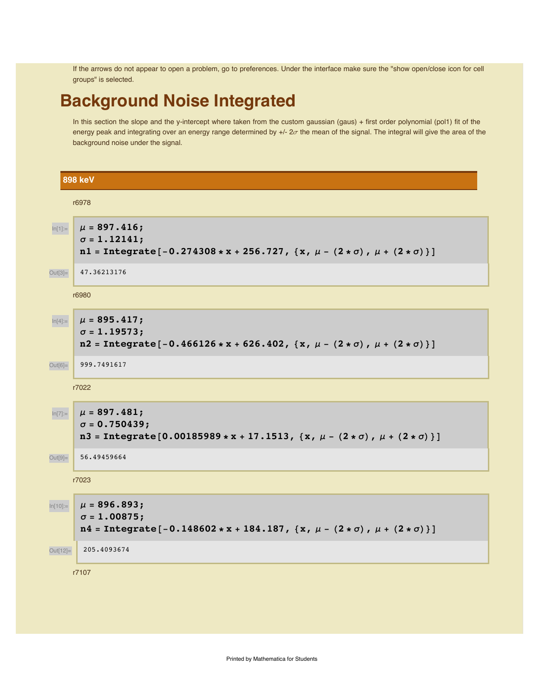If the arrows do not appear to open a problem, go to preferences. Under the interface make sure the "show open/close icon for cell groups" is selected.

## **Background Noise Integrated**

In this section the slope and the y-intercept where taken from the custom gaussian (gaus) + first order polynomial (pol1) fit of the energy peak and integrating over an energy range determined by  $+/-2\sigma$  the mean of the signal. The integral will give the area of the background noise under the signal.

**898 keV** r6978  $ln[1]:=\frac{1}{\mu} = 897.416;$  $\sigma = 1.12141;$ n1 = Integrate  $[-0.274308 * x + 256.727, {x, \mu - (2 * \sigma), \mu + (2 * \sigma)}]$ Out<sup>[3]</sup> 47.36213176 r6980  $ln[4] :=$   $\mu = 895.417;$ **s = 1.19573;**  $n2 = Integrate [-0.466126*x+626.402, {x, \mu - (2 * \sigma), \mu + (2 * \sigma)}]$ Out<sup>[6]</sup> 999.7491617 r7022  $\ln$ [7]:=  $\mu = 897.481;$ **s = 0.750439;**  $n3 = Integrate [0.00185989*x + 17.1513, {x, \mu - (2 * \sigma), \mu + (2 * \sigma)}]$ Out<sup>[9]</sup> 56.49459664 r7023  $\ln[10]:=\ \mu = 896.893;$ **s = 1.00875;**  $n4 = Integrate [-0.148602 * x + 184.187, {x, \mu - (2 * \sigma), \mu + (2 * \sigma)}]$ Out[12]= 205.4093674 r7107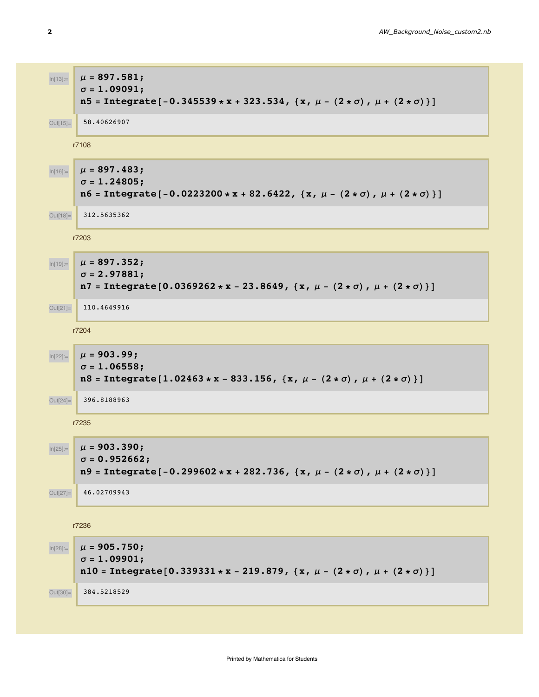$$
μ(18) = μ = 897.581;
$$
\nσ = 1.09091;  
\n15 = Integrate[-0.345539 \* x + 323.534, (x, μ - (2 \* σ), μ + (2 \* σ))]\n64(18)  
\n64(18)  
\n
$$
μ = 897.483;
$$
\nσ = 1.24805;  
\n16 = Integrate[-0.0223200 \* x + 82.6422, (x, μ - (2 \* σ), μ + (2 \* σ))]\n64(18)  
\n
$$
μ = 897.352;
$$
\n
$$
σ = 2.97881;
$$
\n17 = Integrate[0.0369262 \* x - 23.8649, (x, μ - (2 \* σ), μ + (2 \* σ))]\n64(2)  
\n
$$
μ = 903.99;
$$
\n
$$
σ = 1.06558;
$$
\n18 = Integrate[1.02463 \* x - 833.156, (x, μ - (2 \* σ), μ + (2 \* σ))]\n64(3)  
\n
$$
μ = 903.390;
$$
\n
$$
σ = 0.952662;
$$
\n19 = Integrate[-0.299602 \* x + 282.736, (x, μ - (2 \* σ), μ + (2 \* σ))]\n46.0270943  
\n17286  
\n
$$
μ = 905.750;
$$
\n
$$
σ = 0.952662;
$$
\n18 = Integrate[-0.299602 \* x + 282.736, (x, μ - (2 \* σ), μ + (2 \* σ))]\n46.0270914  
\n180 = Integrate[-0.339331 \* x - 219.879, (x, μ - (2 \* σ), μ + (2 \* σ))]

Out<sup>[30]</sup> 384.5218529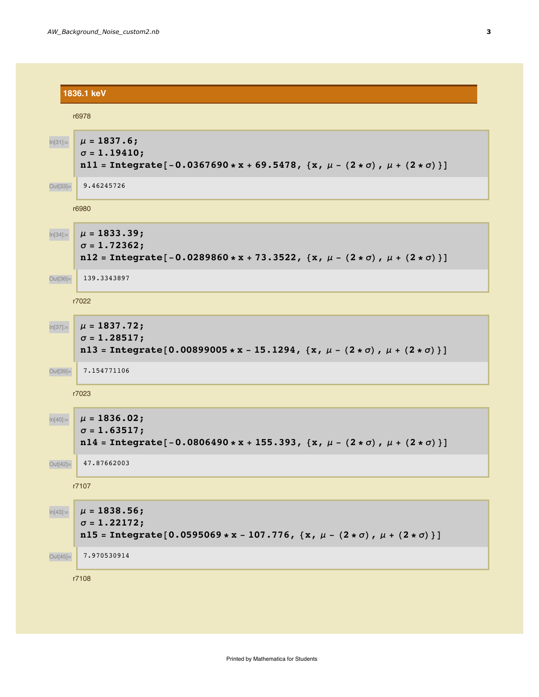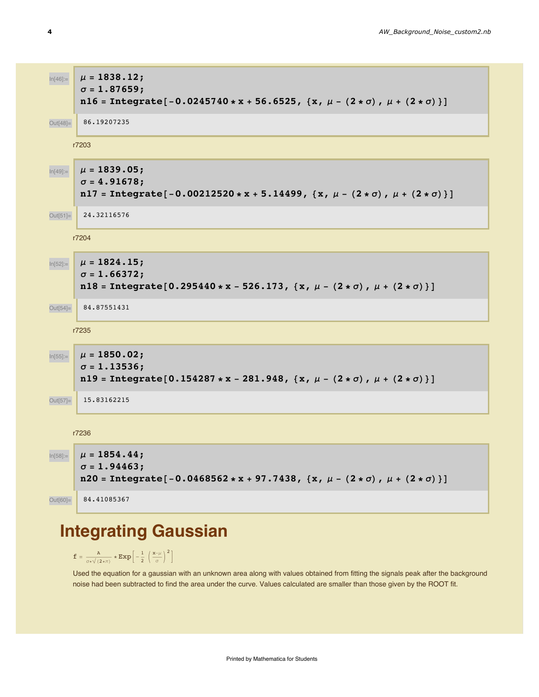

# **Integrating Gaussian**

 $\texttt{f} = \frac{\texttt{A}}{\sigma * \sqrt{(2 * \pi)}} * \texttt{Exp}\left[ -\frac{1}{2} \; \left( \frac{\texttt{x}-\mu}{\sigma} \right)^2 \right]$ 

Used the equation for a gaussian with an unknown area along with values obtained from fitting the signals peak after the background noise had been subtracted to find the area under the curve. Values calculated are smaller than those given by the ROOT fit.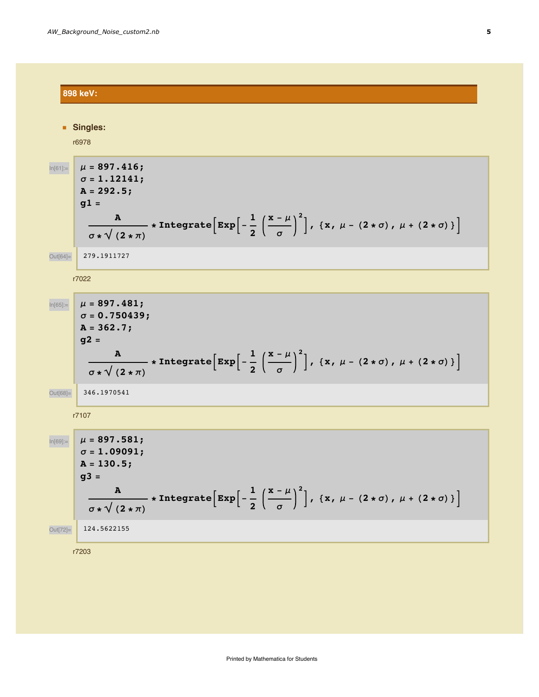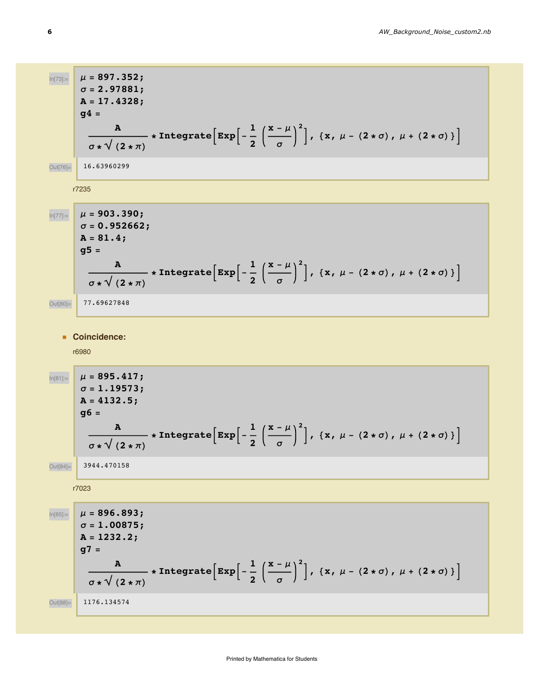In[73]:= **m = 897.352; s = 2.97881; A = 17.4328; g4 = A**  $\sigma * \sqrt{(2 * \pi)}$  $\bf{p}$  **Integrate**  $\left[\texttt{Exp}\right]$  -  $\frac{1}{2}$ **2**  $\mathbf{x} - \mu$ **s 2**  $\vert$ , {x,  $\mu$  - (2 \*  $\sigma$ ),  $\mu$  + (2 \*  $\sigma$ )} Out[76]= 16.63960299 r7235  $\ln[77] :=$   $\mu = 903.390;$ **s = 0.952662; A = 81.4; g5 = A**  $\sigma * \sqrt{(2 * \pi)}$  $\bf{p}$  **Integrate** $\left[\texttt{Exp}\right]$  -  $\frac{1}{\sqrt{2}}$ **2**  $\mathbf{x} - \mu$ **s 2**  $\left[ \begin{array}{ccc} 0 & \text{if } 0 & \text{if } 0 \\ 0 & \text{if } 0 & \text{if } 0 \\ 0 & \text{if } 0 & \text{if } 0 \end{array} \right]$ Out[80]= 77.69627848 **ü Coincidence:** r6980  $ln[81] :=$   $\mu = 895.417;$ **s = 1.19573; A = 4132.5; g6 = A**  $\frac{1}{\sigma * \sqrt{(2 * \pi)}}$  $\bf{p}$  **Integrate**  $\left[\texttt{Exp}\right]$  -  $\frac{1}{2}$ **2**  $\mathbf{x} - \mu$ **s 2**  $\vert$ , {x,  $\mu$  - (2 \*  $\sigma$ ),  $\mu$  + (2 \*  $\sigma$ )} Out[84]= 3944.470158 r7023  $\mu = 896.893;$ **s = 1.00875; A = 1232.2; g7 = A**  $\sigma * \sqrt{(2 * \pi)}$  $\bf{p}$  **Integrate**  $\left[\texttt{Exp}\right]$  -  $\frac{1}{2}$ **2**  $\mathbf{x} - \mu$ **s 2**  $\vert$ , {x,  $\mu$  - (2 \*  $\sigma$ ),  $\mu$  + (2 \*  $\sigma$ )} Out[88]= 1176.134574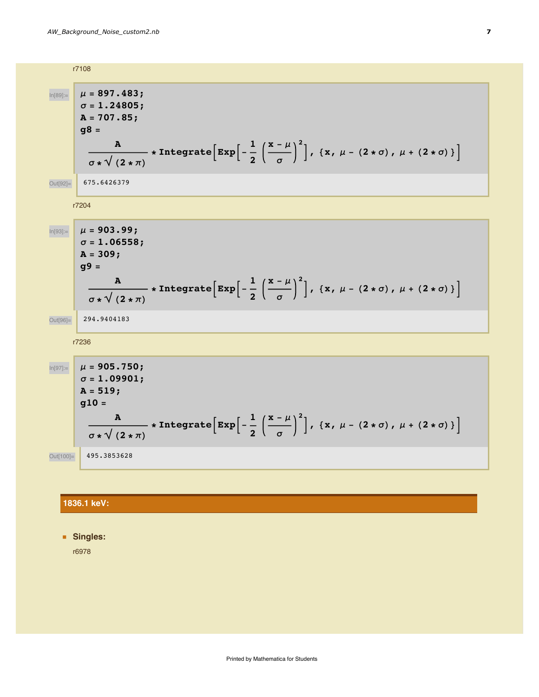

#### **1836.1 keV:**

**ü Singles:**

r6978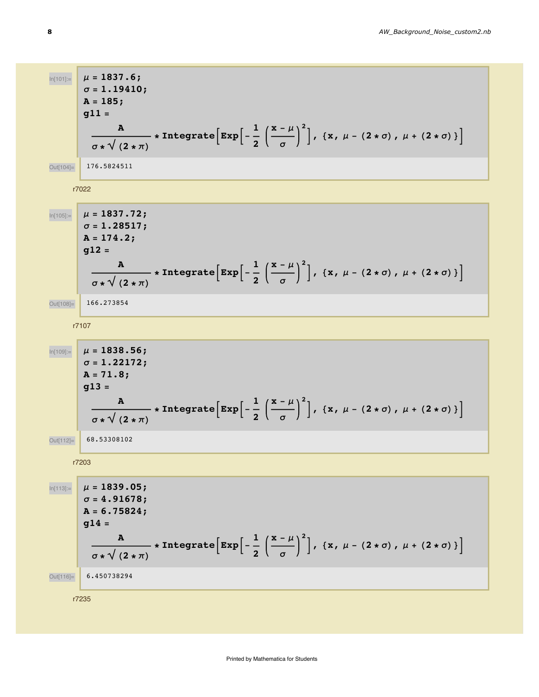$$
\mu = 1837.6;
$$
\n
$$
\sigma = 1.1940;
$$
\nA = 185; 911 =  
\n
$$
\frac{\alpha}{\sigma * \sqrt{(2 * \pi)}} * \text{Integrate}\left[ \exp\left[-\frac{1}{2} \left(\frac{x - \mu}{\sigma}\right)^2\right], (x, \mu - (2 * \sigma), \mu + (2 * \sigma))\right]
$$
\n
$$
\frac{\mu}{\sqrt{2 * \pi}} = 1237.72;
$$
\n
$$
\sigma = 1.28517;
$$
\nA = 174.2; 912 =  
\n
$$
\frac{\alpha}{\sigma * \sqrt{(2 * \pi)}} * \text{Integrate}\left[ \exp\left[-\frac{1}{2} \left(\frac{x - \mu}{\sigma}\right)^2\right], (x, \mu - (2 * \sigma), \mu + (2 * \sigma))\right]
$$
\n
$$
\frac{\cos(\cos)}{\cos(\cos)} = \frac{\mu = 1838.56;}{166.273834}
$$
\n
$$
\frac{\pi}{\sqrt{2 * \pi}} * \text{Integrate}\left[ \exp\left[-\frac{1}{2} \left(\frac{x - \mu}{\sigma}\right)^2\right], (x, \mu - (2 * \sigma), \mu + (2 * \sigma))\right]
$$
\n
$$
\frac{\sin(\cos)}{\cos(\cos)} = \frac{\mu = 1838.56;}{\pi * \sqrt{(2 * \pi)}} * \text{Integrate}\left[ \exp\left[-\frac{1}{2} \left(\frac{x - \mu}{\sigma}\right)^2\right], (x, \mu - (2 * \sigma), \mu + (2 * \sigma))\right]
$$
\n
$$
\frac{\cos(\cos)}{\cos(\cos(\cos))} = \frac{\mu = 1839.05;}{\pi * 0.5938102}
$$
\n
$$
\frac{\pi}{\sqrt{(2 * \pi)}} * \text{Integrate}\left[ \exp\left[-\frac{1}{2} \left(\frac{x - \mu}{\sigma}\right)^2\right], (x, \mu - (2 * \sigma), \mu + (2 * \sigma))\right]
$$
\n
$$
\frac{\alpha}{\sqrt{(2 * \pi)}} * \text{Integrate}\left[ \exp\left[-\frac{1}{2} \left(\frac{x - \mu}{\sigma}\right)^2\right], (x, \mu - (2 * \sigma), \mu + (2 * \sigma))\right]
$$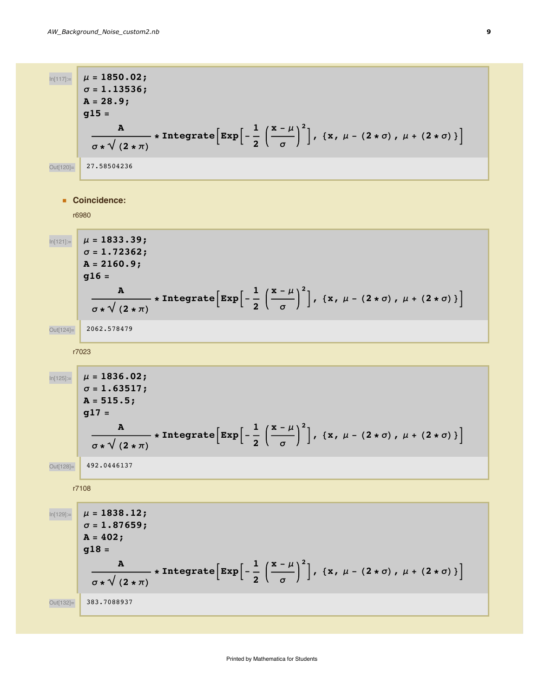$\mu = 1850.02;$ **s = 1.13536; A = 28.9; g15 = A**  $\sigma * \sqrt{(2 * \pi)}$  $\bf{p}$  **Integrate** $\left[\texttt{Exp}\right]$  -  $\frac{1}{2}$ **2**  $\mathbf{x} - \mu$ **s 2**  $\vert$ , {x,  $\mu$  - (2 \*  $\sigma$ ),  $\mu$  + (2 \*  $\sigma$ )} Out[120]= 27.58504236 **ü Coincidence:** r6980  $\mu = 1833.39;$ **s = 1.72362; A = 2160.9; g16 = A**  $\sigma * \sqrt{(2 * \pi)}$  $\star$  **IntegrateExp** $\begin{bmatrix} 1 \\ -1 \end{bmatrix}$ **2**  $\mathbf{x} - \mu$ **s 2**  $\vert$ , {x,  $\mu$  - (2 \*  $\sigma$ ),  $\mu$  + (2 \*  $\sigma$ )} Out[124]= 2062.578479 r7023  $\mu = 1836.02;$ **s = 1.63517; A = 515.5; g17 = A**  $\frac{1}{\sigma * \sqrt{(2 * \pi)}}$  $\bf{r}$  **Integrate** $\left[\texttt{Exp}\right]$  -  $\frac{1}{2}$ **2**  $\mathbf{x} - \mu$ **s 2**  $\vert$ , {x,  $\mu$  - (2 \*  $\sigma$ ),  $\mu$  + (2 \*  $\sigma$ )} Out[128]= 492.0446137 r7108  $\mu = 1838.12;$ **s = 1.87659; A = 402; g18 = A**  $\frac{1}{\sigma * \sqrt{(2 * \pi)}}$  $\bf{p}$  **Integrate** $\left[\texttt{Exp}\right]$  -  $\frac{1}{2}$ **2**  $\mathbf{x} - \mu$ **s 2**  $\vert$ , {x,  $\mu$  - (2 \*  $\sigma$ ),  $\mu$  + (2 \*  $\sigma$ )} Out[132]= 383.7088937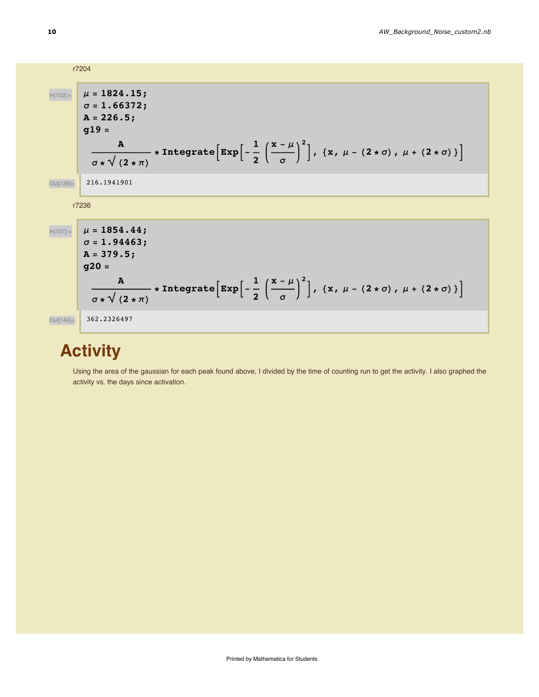|             | r7204                                                                                                                                                                                                                                                                            |
|-------------|----------------------------------------------------------------------------------------------------------------------------------------------------------------------------------------------------------------------------------------------------------------------------------|
| $ln[133] =$ | $\mu = 1824.15$ ;<br>$\sigma = 1.66372;$<br>$A = 226.5;$<br>$g19 =$<br>$\frac{A}{\sigma \star \sqrt{(2 \star \pi)}}$ * Integrate $\left[ \exp \left[ -\frac{1}{2} \left( \frac{x-\mu}{\sigma} \right)^2 \right], \{x, \mu - (2 \star \sigma), \mu + (2 \star \sigma) \} \right]$ |
| Out[136]=   | 216.1941901                                                                                                                                                                                                                                                                      |
|             | r7236                                                                                                                                                                                                                                                                            |
| $ln[137] =$ | $\mu = 1854.44;$<br>$\sigma = 1.94463;$<br>$A = 379.5;$<br>$g20 =$<br>$\frac{A}{\sigma\star\sqrt{(2*\pi)}}$ * Integrate $\left[Exp\left[-\frac{1}{2}\left(\frac{x-\mu}{\sigma}\right)^2\right], \{x, \mu-(2*\sigma), \mu+(2*\sigma)\}\right]$                                    |
| Out[140]=   | 362,2326497                                                                                                                                                                                                                                                                      |

# **Activity**

Using the area of the gaussian for each peak found above, I divided by the time of counting run to get the activity. I also graphed the activity vs. the days since activation.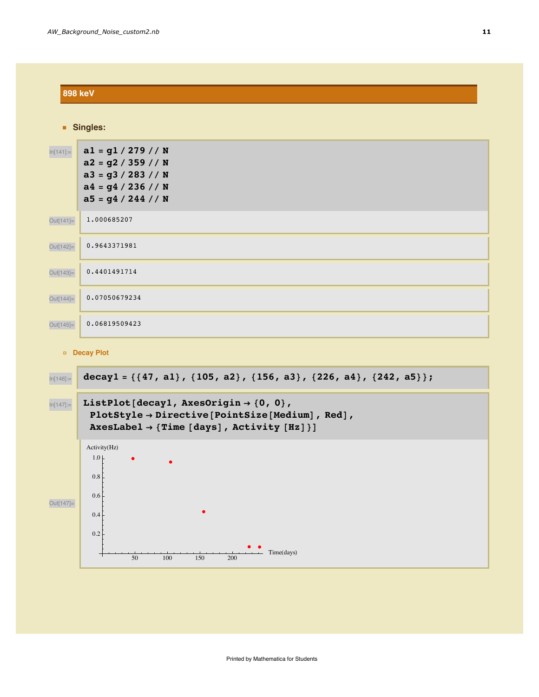| <b>898 keV</b> |                                                                                                                    |  |
|----------------|--------------------------------------------------------------------------------------------------------------------|--|
| Singles:       |                                                                                                                    |  |
| $ln[141] =$    | $a1 = g1 / 279 // N$<br>$a2 = g2 / 359 // N$<br>$a3 = g3 / 283 // N$<br>$a4 = g4 / 236 / N$<br>$a5 = g4 / 244 / N$ |  |
| Out[141]=      | 1.000685207                                                                                                        |  |
| Out[142]=      | 0.9643371981                                                                                                       |  |
| Out[143]=      | 0.4401491714                                                                                                       |  |
| Out[144]=      | 0.07050679234                                                                                                      |  |
| Out[145]=      | 0.06819509423                                                                                                      |  |
| Decay Plot     |                                                                                                                    |  |
| $ln[146] =$    | decay1 = {{47, a1}, {105, a2}, {156, a3}, {226, a4}, {242, a5}};                                                   |  |



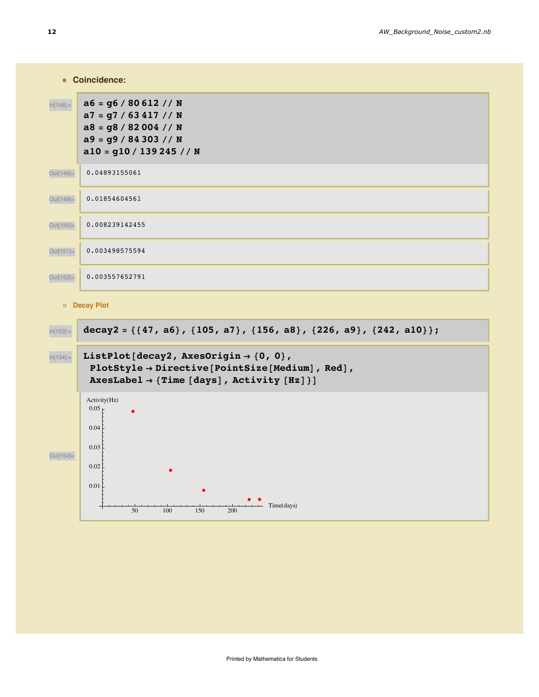|              | <b>Coincidence:</b>                                                                                                                |  |
|--------------|------------------------------------------------------------------------------------------------------------------------------------|--|
| $ln[148] =$  | $a6 = g6 / 80612 // N$<br>$a7 = g7 / 63 417 / N$<br>$a8 = g8 / 82004 // N$<br>$a9 = g9 / 84 303 // N$<br>$a10 = g10 / 139245 // N$ |  |
| Out[148]=    | 0.04893155061                                                                                                                      |  |
| Out[149]=    | 0.01854604561                                                                                                                      |  |
| Out[150]=    | 0.008239142455                                                                                                                     |  |
| $Out[151] =$ | 0.003498575594                                                                                                                     |  |
| Out[152]=    | 0.003557652791                                                                                                                     |  |
|              |                                                                                                                                    |  |

#### Decay Plot

| $ln[153] =$ | $decay2 = \{\{47, a6\}, \{105, a7\}, \{156, a8\}, \{226, a9\}, \{242, a10\}\};$                                                                                            |
|-------------|----------------------------------------------------------------------------------------------------------------------------------------------------------------------------|
| $ln[154] =$ | ListPlot[decay2, AxesOrigin $\rightarrow$ {0, 0},<br>PlotStyle $\rightarrow$ Directive [PointSize [Medium], Red],<br>AxesLabel $\rightarrow$ {Time [days], Activity [Hz]}] |
| Out[154]=   | Activity(Hz)<br>$0.05 +$<br>$\bullet$<br>0.04<br>0.03<br>0.02                                                                                                              |
|             | 0.01<br>$\bullet$<br>$\bullet$<br>Time(days)<br>50<br>100<br>150<br>200                                                                                                    |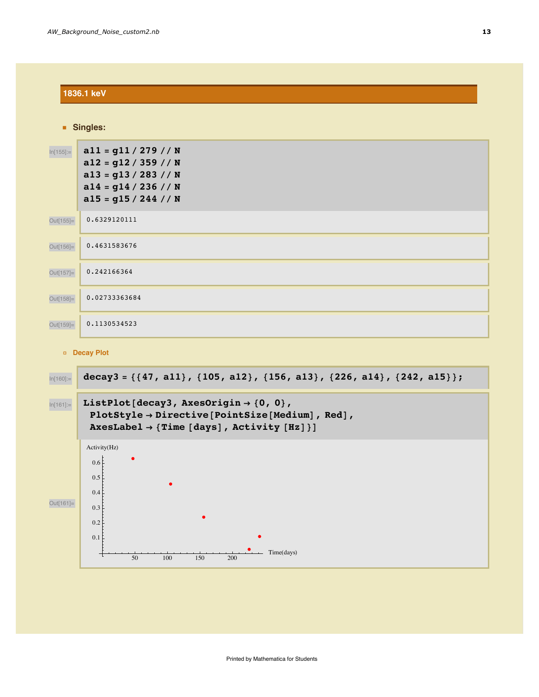| 1836.1 keV                                 |                                                                                                                               |  |
|--------------------------------------------|-------------------------------------------------------------------------------------------------------------------------------|--|
| Singles:                                   |                                                                                                                               |  |
| $ln[155] =$                                | $a11 = g11 / 279 // N$<br>$a12 = g12 / 359 // N$<br>$a13 = g13 / 283 // N$<br>$a14 = g14 / 236 / N$<br>$a15 = g15 / 244 // N$ |  |
| Out[155]=                                  | 0.6329120111                                                                                                                  |  |
| Out[156]=                                  | 0.4631583676                                                                                                                  |  |
| Out[157]=                                  | 0.242166364                                                                                                                   |  |
| Out[158]=                                  | 0.02733363684                                                                                                                 |  |
| Out[159]=                                  | 0.1130534523                                                                                                                  |  |
| <b>Contract Contract Contract Contract</b> |                                                                                                                               |  |

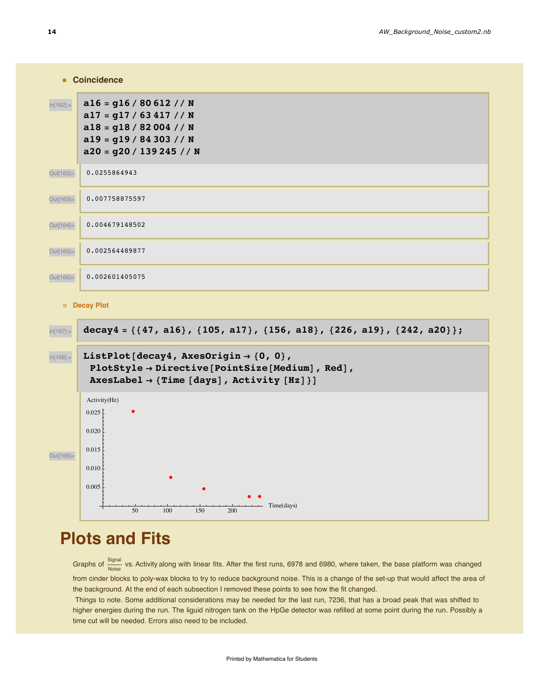| <b>Coincidence</b> |                                                                                                                                           |
|--------------------|-------------------------------------------------------------------------------------------------------------------------------------------|
| $ln[162] =$        | $a16 = g16 / 80612 // N$<br>$a17 = g17 / 63 417 / N$<br>$a18 = g18 / 82004 // N$<br>$a19 = g19 / 84303 // N$<br>$a20 = g20 / 139245 // N$ |
| Out[162]=          | 0.0255864943                                                                                                                              |
| Out[163]=          | 0.007758875597                                                                                                                            |
| Out[164]=          | 0.004679148502                                                                                                                            |
| Out[165]=          | 0.002564489877                                                                                                                            |
| Out[166]=          | 0.002601405075                                                                                                                            |
| <b>Decay Plot</b>  |                                                                                                                                           |



# **Plots and Fits**

Graphs of  $\frac{Signal}{Noise}$  vs. Activity along with linear fits. After the first runs, 6978 and 6980, where taken, the base platform was changed from cinder blocks to poly-wax blocks to try to reduce background noise. This is a change of the set-up that would affect the area of the background. At the end of each subsection I removed these points to see how the fit changed.

Things to note. Some additional considerations may be needed for the last run, 7236, that has a broad peak that was shifted to higher energies during the run. The liguid nitrogen tank on the HpGe detector was refilled at some point during the run. Possibly a time cut will be needed. Errors also need to be included.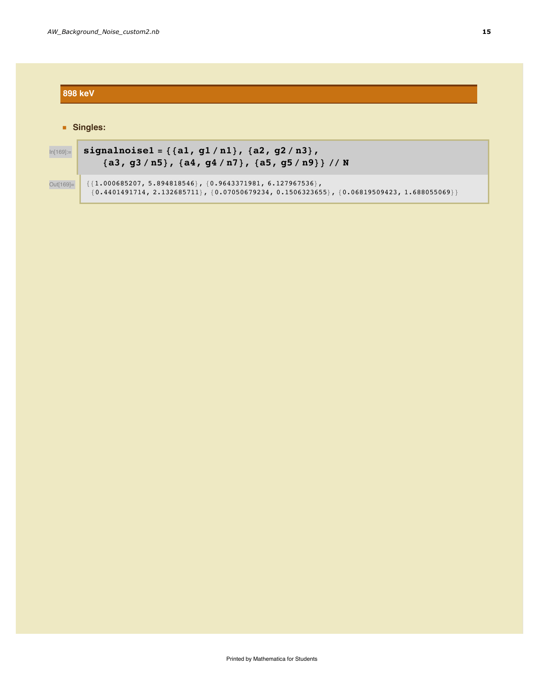### **898 keV** Singles: signalnoisel = { ${a1, g1/n1}$ ,  ${a2, g2/n3}$ ,  $ln[169] =$  ${a3, g3/n5}$ ,  ${a4, g4/n7}$ ,  ${a5, g5/n9}$ / / N  ${1.000685207, 5.894818546}, {0.9643371981, 6.127967536},$ Out[169]=  $\{0\texttt{.}4401491714\texttt{, }2\texttt{.}132685711\} \texttt{, } \{0\texttt{.}07050679234\texttt{, }0\texttt{.}1506323655\} \texttt{, } \{0\texttt{.}06819509423\texttt{, }1\texttt{.}688055069\} \}$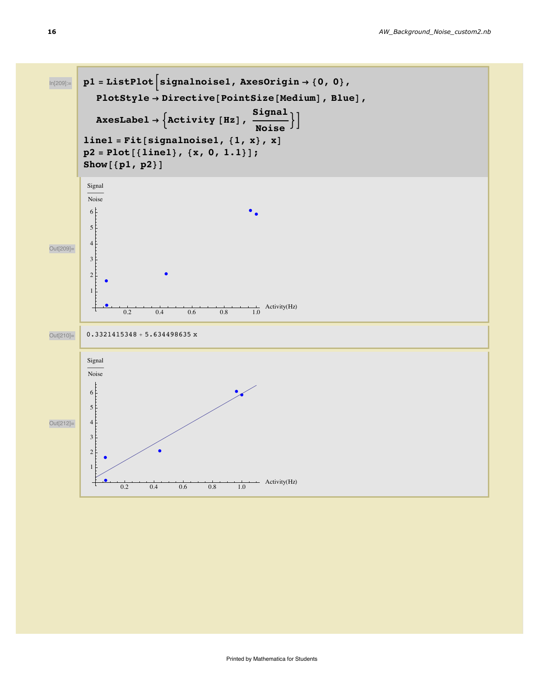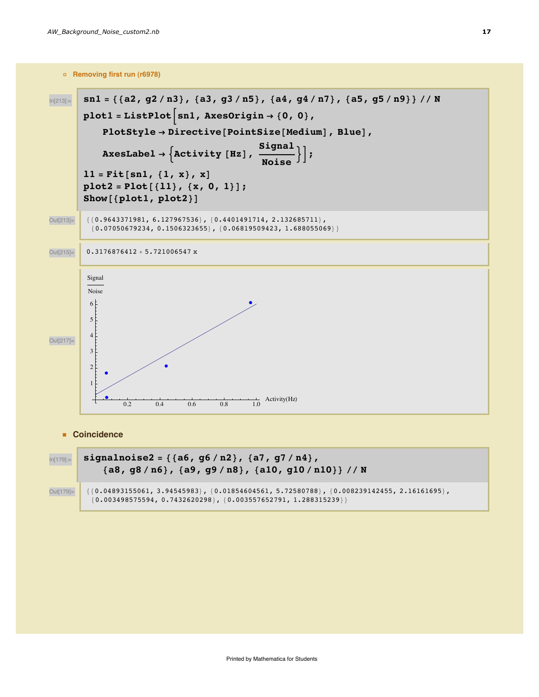□ Removing first run (r6978)



• Coincidence

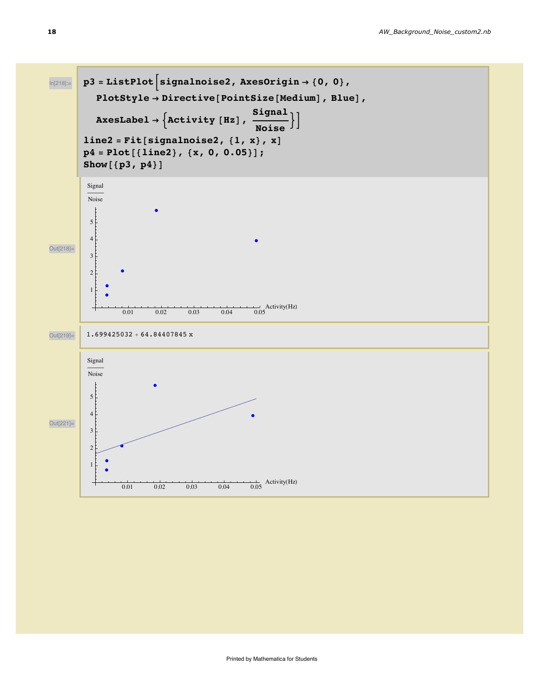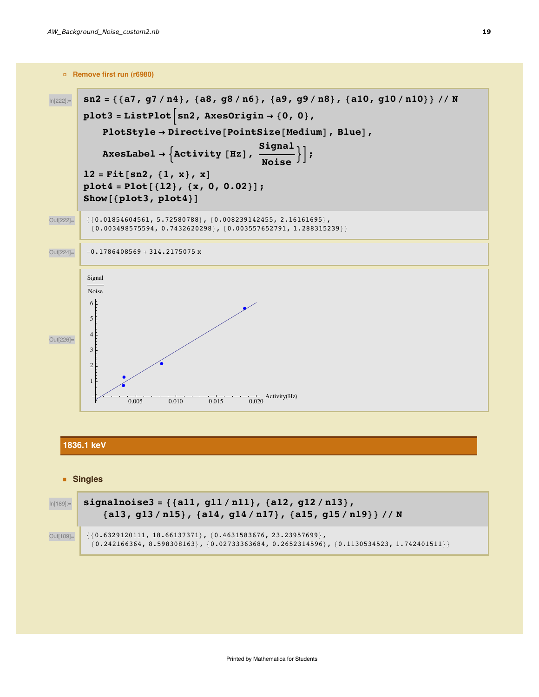



#### 1836.1 keV

#### **Singles**

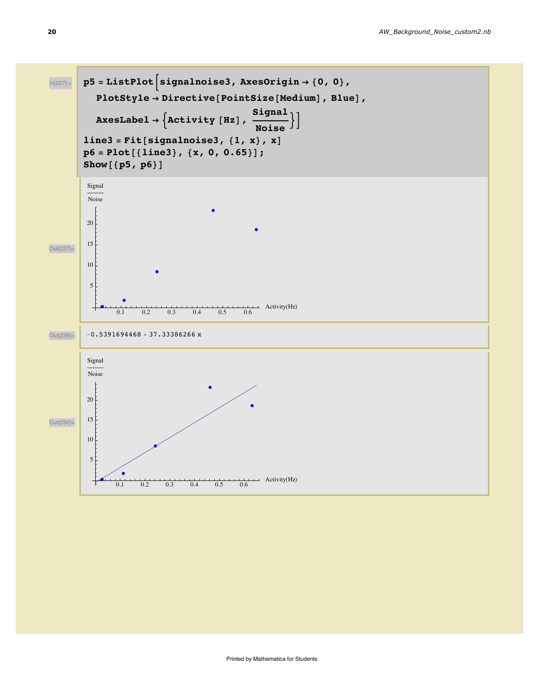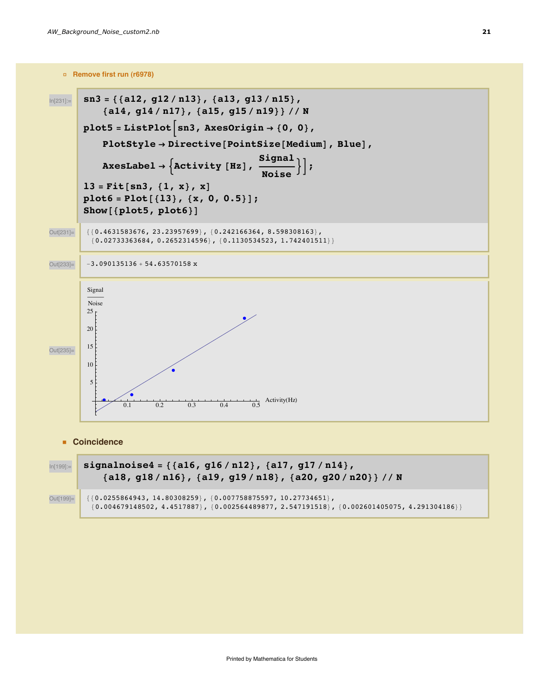

• Coincidence



signalnoise4 = {{a16, g16/n12}, {a17, g17/n14}, {a18, g18/n16}, {a19, g19/n18}, {a20, g20/n20}} // N

 ${0.0255864943, 14.80308259}$ ,  ${0.007758875597, 10.27734651}$ , Out[199]=  $\{0.004679148502, 4.4517887\}$ ,  $\{0.002564489877, 2.547191518\}$ ,  $\{0.002601405075, 4.291304186\}\}$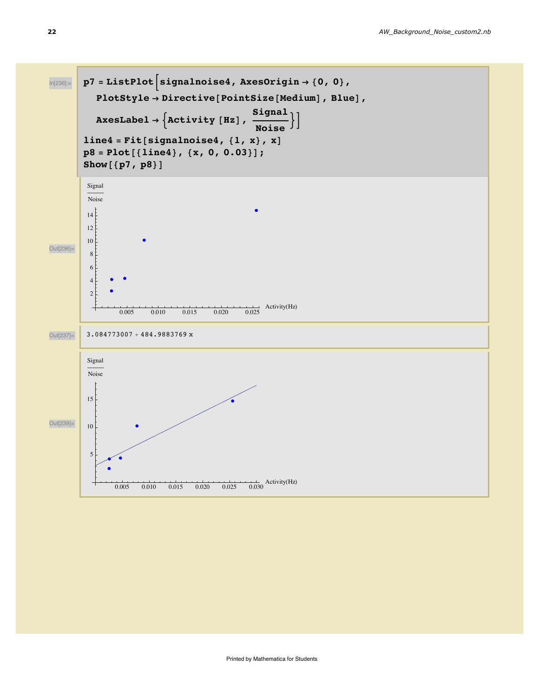